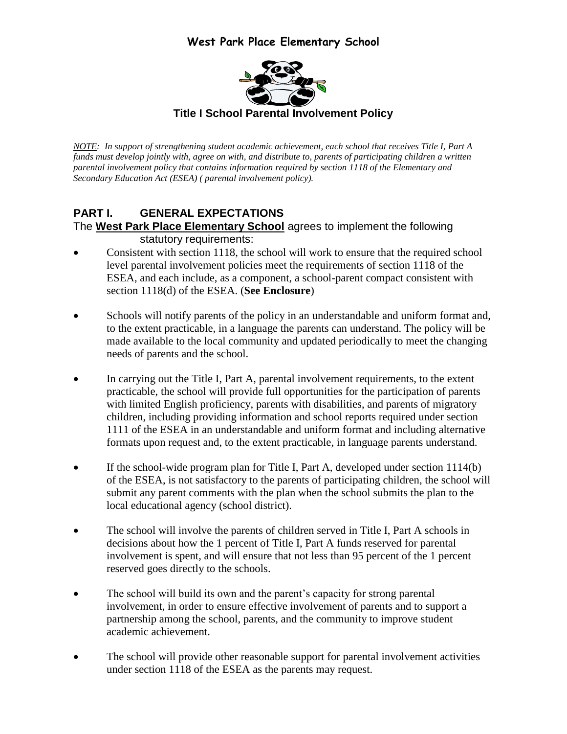

*NOTE: In support of strengthening student academic achievement, each school that receives Title I, Part A funds must develop jointly with, agree on with, and distribute to, parents of participating children a written parental involvement policy that contains information required by section 1118 of the Elementary and Secondary Education Act (ESEA) ( parental involvement policy).*

### **PART I. GENERAL EXPECTATIONS**  The **West Park Place Elementary School** agrees to implement the following statutory requirements:

- Consistent with section 1118, the school will work to ensure that the required school level parental involvement policies meet the requirements of section 1118 of the ESEA, and each include, as a component, a school-parent compact consistent with section 1118(d) of the ESEA. (**See Enclosure**)
- Schools will notify parents of the policy in an understandable and uniform format and, to the extent practicable, in a language the parents can understand. The policy will be made available to the local community and updated periodically to meet the changing needs of parents and the school.
- In carrying out the Title I, Part A, parental involvement requirements, to the extent practicable, the school will provide full opportunities for the participation of parents with limited English proficiency, parents with disabilities, and parents of migratory children, including providing information and school reports required under section 1111 of the ESEA in an understandable and uniform format and including alternative formats upon request and, to the extent practicable, in language parents understand.
- If the school-wide program plan for Title I, Part A, developed under section 1114(b) of the ESEA, is not satisfactory to the parents of participating children, the school will submit any parent comments with the plan when the school submits the plan to the local educational agency (school district).
- The school will involve the parents of children served in Title I, Part A schools in decisions about how the 1 percent of Title I, Part A funds reserved for parental involvement is spent, and will ensure that not less than 95 percent of the 1 percent reserved goes directly to the schools.
- The school will build its own and the parent's capacity for strong parental involvement, in order to ensure effective involvement of parents and to support a partnership among the school, parents, and the community to improve student academic achievement.
- The school will provide other reasonable support for parental involvement activities under section 1118 of the ESEA as the parents may request.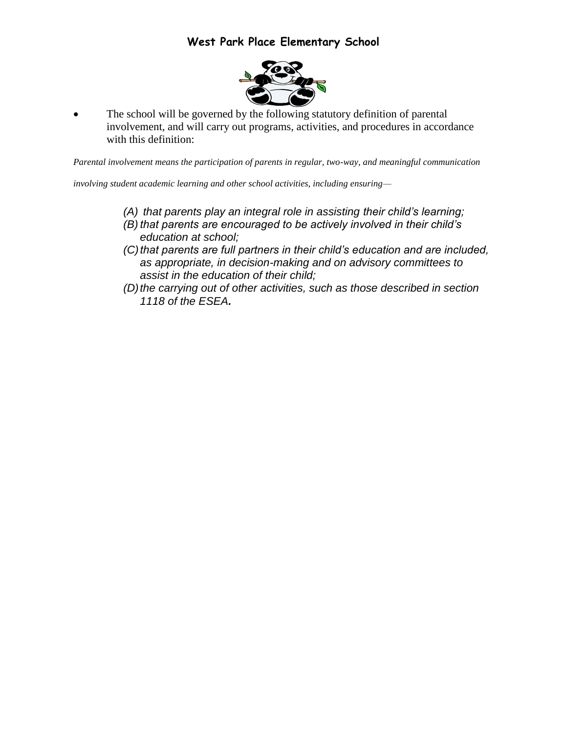

 The school will be governed by the following statutory definition of parental involvement, and will carry out programs, activities, and procedures in accordance with this definition:

*Parental involvement means the participation of parents in regular, two-way, and meaningful communication* 

*involving student academic learning and other school activities, including ensuring—*

- *(A) that parents play an integral role in assisting their child's learning; (B) that parents are encouraged to be actively involved in their child's education at school;*
- *(C)that parents are full partners in their child's education and are included, as appropriate, in decision-making and on advisory committees to assist in the education of their child;*
- *(D)the carrying out of other activities, such as those described in section 1118 of the ESEA.*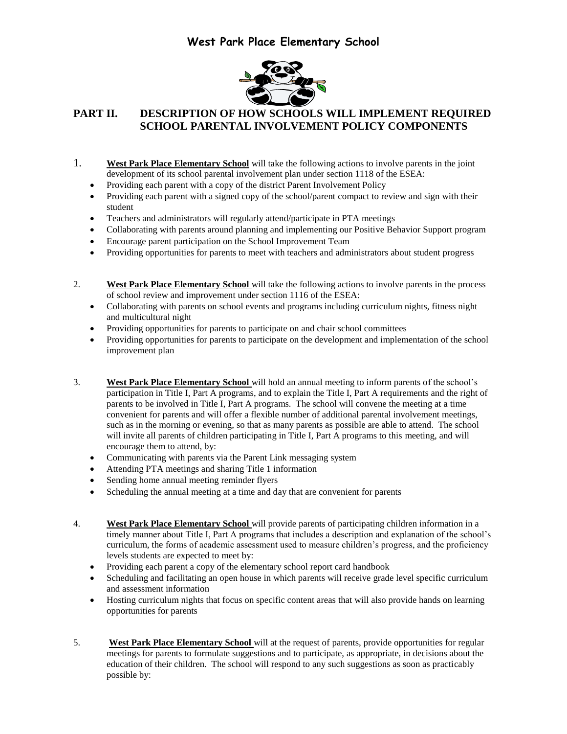

### **PART II. DESCRIPTION OF HOW SCHOOLS WILL IMPLEMENT REQUIRED SCHOOL PARENTAL INVOLVEMENT POLICY COMPONENTS**

- 1. **West Park Place Elementary School** will take the following actions to involve parents in the joint development of its school parental involvement plan under section 1118 of the ESEA:
	- Providing each parent with a copy of the district Parent Involvement Policy
	- Providing each parent with a signed copy of the school/parent compact to review and sign with their student
	- Teachers and administrators will regularly attend/participate in PTA meetings
	- Collaborating with parents around planning and implementing our Positive Behavior Support program
	- Encourage parent participation on the School Improvement Team
	- Providing opportunities for parents to meet with teachers and administrators about student progress
- 2. **West Park Place Elementary School** will take the following actions to involve parents in the process of school review and improvement under section 1116 of the ESEA:
	- Collaborating with parents on school events and programs including curriculum nights, fitness night and multicultural night
	- Providing opportunities for parents to participate on and chair school committees
	- Providing opportunities for parents to participate on the development and implementation of the school improvement plan
- 3. **West Park Place Elementary School** will hold an annual meeting to inform parents of the school's participation in Title I, Part A programs, and to explain the Title I, Part A requirements and the right of parents to be involved in Title I, Part A programs. The school will convene the meeting at a time convenient for parents and will offer a flexible number of additional parental involvement meetings, such as in the morning or evening, so that as many parents as possible are able to attend. The school will invite all parents of children participating in Title I, Part A programs to this meeting, and will encourage them to attend, by:
	- Communicating with parents via the Parent Link messaging system
	- Attending PTA meetings and sharing Title 1 information
	- Sending home annual meeting reminder flyers
	- Scheduling the annual meeting at a time and day that are convenient for parents
- 4. **West Park Place Elementary School** will provide parents of participating children information in a timely manner about Title I, Part A programs that includes a description and explanation of the school's curriculum, the forms of academic assessment used to measure children's progress, and the proficiency levels students are expected to meet by:
	- Providing each parent a copy of the elementary school report card handbook
	- Scheduling and facilitating an open house in which parents will receive grade level specific curriculum and assessment information
	- Hosting curriculum nights that focus on specific content areas that will also provide hands on learning opportunities for parents
- 5. **West Park Place Elementary School** will at the request of parents, provide opportunities for regular meetings for parents to formulate suggestions and to participate, as appropriate, in decisions about the education of their children. The school will respond to any such suggestions as soon as practicably possible by: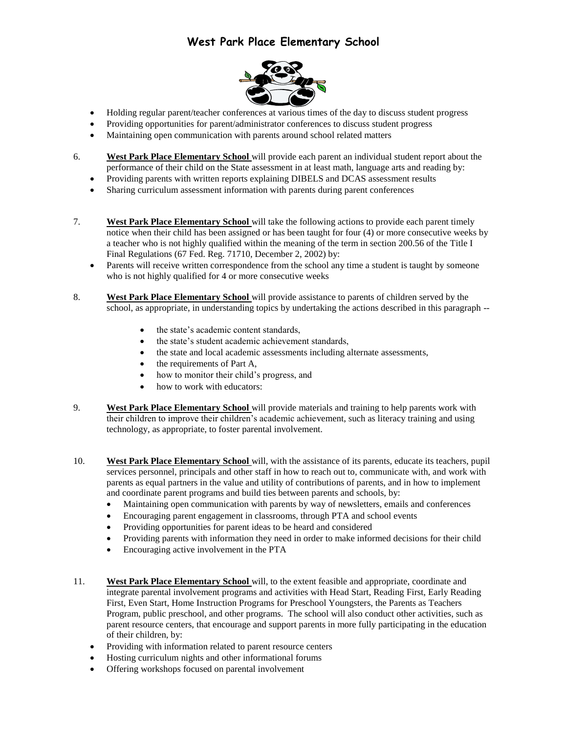

- Holding regular parent/teacher conferences at various times of the day to discuss student progress
- Providing opportunities for parent/administrator conferences to discuss student progress
- Maintaining open communication with parents around school related matters
- 6. **West Park Place Elementary School** will provide each parent an individual student report about the performance of their child on the State assessment in at least math, language arts and reading by:
	- Providing parents with written reports explaining DIBELS and DCAS assessment results
	- Sharing curriculum assessment information with parents during parent conferences
- 7. **West Park Place Elementary School** will take the following actions to provide each parent timely notice when their child has been assigned or has been taught for four (4) or more consecutive weeks by a teacher who is not highly qualified within the meaning of the term in section 200.56 of the Title I Final Regulations (67 Fed. Reg. 71710, December 2, 2002) by:
	- Parents will receive written correspondence from the school any time a student is taught by someone who is not highly qualified for 4 or more consecutive weeks
- 8. **West Park Place Elementary School** will provide assistance to parents of children served by the school, as appropriate, in understanding topics by undertaking the actions described in this paragraph -
	- the state's academic content standards,
	- the state's student academic achievement standards,
	- the state and local academic assessments including alternate assessments,
	- the requirements of Part A,
	- how to monitor their child's progress, and
	- how to work with educators:
- 9. **West Park Place Elementary School** will provide materials and training to help parents work with their children to improve their children's academic achievement, such as literacy training and using technology, as appropriate, to foster parental involvement.
- 10. **West Park Place Elementary School** will, with the assistance of its parents, educate its teachers, pupil services personnel, principals and other staff in how to reach out to, communicate with, and work with parents as equal partners in the value and utility of contributions of parents, and in how to implement and coordinate parent programs and build ties between parents and schools, by:
	- Maintaining open communication with parents by way of newsletters, emails and conferences
	- Encouraging parent engagement in classrooms, through PTA and school events
	- Providing opportunities for parent ideas to be heard and considered
	- Providing parents with information they need in order to make informed decisions for their child
	- Encouraging active involvement in the PTA
- 11. **West Park Place Elementary School** will, to the extent feasible and appropriate, coordinate and integrate parental involvement programs and activities with Head Start, Reading First, Early Reading First, Even Start, Home Instruction Programs for Preschool Youngsters, the Parents as Teachers Program, public preschool, and other programs. The school will also conduct other activities, such as parent resource centers, that encourage and support parents in more fully participating in the education of their children, by:
	- Providing with information related to parent resource centers
	- Hosting curriculum nights and other informational forums
	- Offering workshops focused on parental involvement